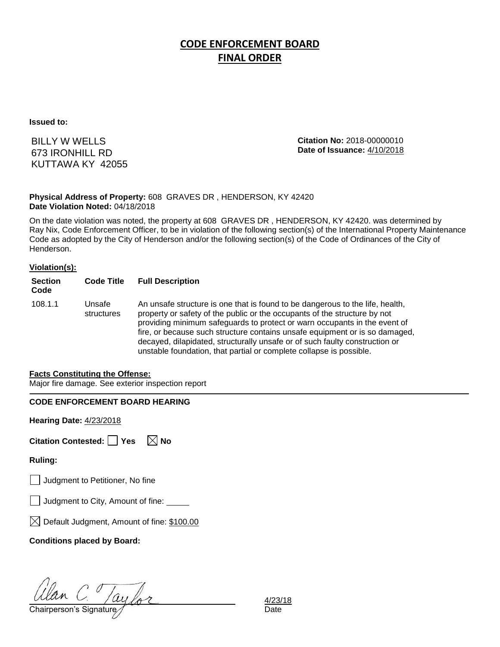# **CODE ENFORCEMENT BOARD FINAL ORDER**

**Issued to:**

BILLY W WELLS 673 IRONHILL RD KUTTAWA KY 42055 **Citation No:** 2018-00000010 **Date of Issuance:** 4/10/2018

#### **Physical Address of Property:** 608 GRAVES DR , HENDERSON, KY 42420 **Date Violation Noted:** 04/18/2018

On the date violation was noted, the property at 608 GRAVES DR , HENDERSON, KY 42420. was determined by Ray Nix, Code Enforcement Officer, to be in violation of the following section(s) of the International Property Maintenance Code as adopted by the City of Henderson and/or the following section(s) of the Code of Ordinances of the City of Henderson.

#### **Violation(s):**

| <b>Section</b><br>Code | <b>Code Title</b>    | <b>Full Description</b>                                                                                                                                                                                                                                                                                                                                                                                                                                                      |
|------------------------|----------------------|------------------------------------------------------------------------------------------------------------------------------------------------------------------------------------------------------------------------------------------------------------------------------------------------------------------------------------------------------------------------------------------------------------------------------------------------------------------------------|
| 108.1.1                | Unsafe<br>structures | An unsafe structure is one that is found to be dangerous to the life, health,<br>property or safety of the public or the occupants of the structure by not<br>providing minimum safeguards to protect or warn occupants in the event of<br>fire, or because such structure contains unsafe equipment or is so damaged,<br>decayed, dilapidated, structurally unsafe or of such faulty construction or<br>unstable foundation, that partial or complete collapse is possible. |

#### **Facts Constituting the Offense:**

Major fire damage. See exterior inspection report

### **CODE ENFORCEMENT BOARD HEARING**

**Hearing Date:** 4/23/2018

| Citation Contested: □ Yes |  | $\boxtimes$ No |
|---------------------------|--|----------------|
|---------------------------|--|----------------|

**Ruling:**

Judgment to Petitioner, No fine

| J Judgment to City, Amount of fine: |  |  |
|-------------------------------------|--|--|
|                                     |  |  |

 $\boxtimes$  Default Judgment, Amount of fine: \$100.00

**Conditions placed by Board:**

Ulan C. Taylor 4/23/<br>Chairperson's Signature for

4/23/18